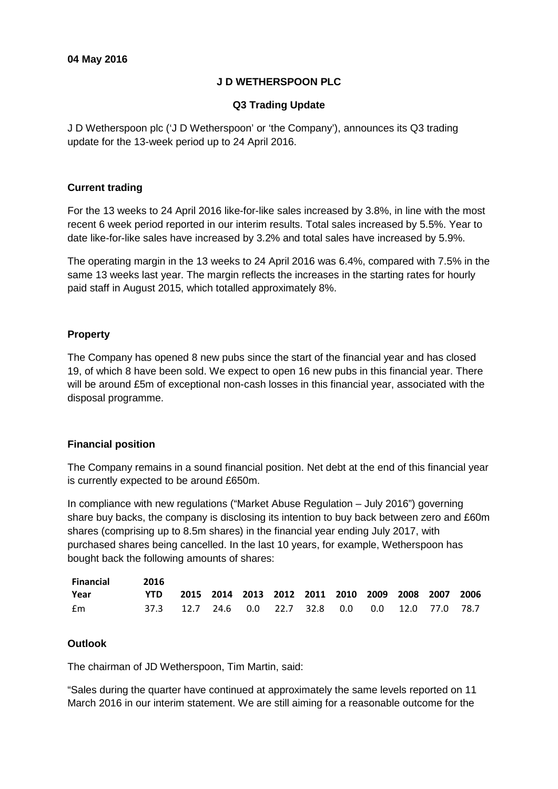# **J D WETHERSPOON PLC**

# **Q3 Trading Update**

J D Wetherspoon plc ('J D Wetherspoon' or 'the Company'), announces its Q3 trading update for the 13-week period up to 24 April 2016.

#### **Current trading**

For the 13 weeks to 24 April 2016 like-for-like sales increased by 3.8%, in line with the most recent 6 week period reported in our interim results. Total sales increased by 5.5%. Year to date like-for-like sales have increased by 3.2% and total sales have increased by 5.9%.

The operating margin in the 13 weeks to 24 April 2016 was 6.4%, compared with 7.5% in the same 13 weeks last year. The margin reflects the increases in the starting rates for hourly paid staff in August 2015, which totalled approximately 8%.

# **Property**

The Company has opened 8 new pubs since the start of the financial year and has closed 19, of which 8 have been sold. We expect to open 16 new pubs in this financial year. There will be around £5m of exceptional non-cash losses in this financial year, associated with the disposal programme.

# **Financial position**

The Company remains in a sound financial position. Net debt at the end of this financial year is currently expected to be around £650m.

In compliance with new regulations ("Market Abuse Regulation – July 2016") governing share buy backs, the company is disclosing its intention to buy back between zero and £60m shares (comprising up to 8.5m shares) in the financial year ending July 2017, with purchased shares being cancelled. In the last 10 years, for example, Wetherspoon has bought back the following amounts of shares:

| Financial | -2016                                                 |  |  |  |  |  |
|-----------|-------------------------------------------------------|--|--|--|--|--|
| Year      | YTD 2015 2014 2013 2012 2011 2010 2009 2008 2007 2006 |  |  |  |  |  |
| fm        | 37.3 12.7 24.6 0.0 22.7 32.8 0.0 0.0 12.0 77.0 78.7   |  |  |  |  |  |

# **Outlook**

The chairman of JD Wetherspoon, Tim Martin, said:

"Sales during the quarter have continued at approximately the same levels reported on 11 March 2016 in our interim statement. We are still aiming for a reasonable outcome for the